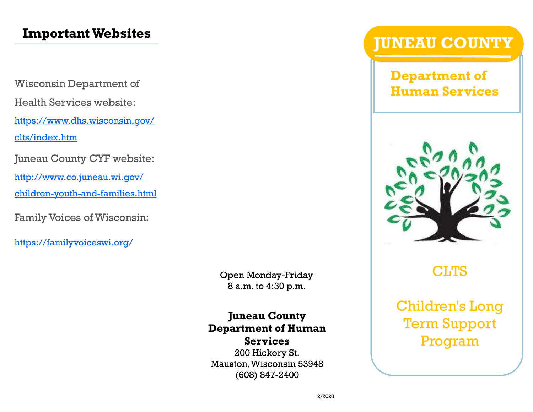# **Important Websites**

Wisconsin Department of Health Services website: [https://www.dhs.wisconsin.gov/](https://www.dhs.wisconsin.gov/clts/index.htm) [clts/index.htm](https://www.dhs.wisconsin.gov/clts/index.htm)

Juneau County CYF website:

[http://www.co.juneau.wi.gov/](http://www.co.juneau.wi.gov/children-youth-and-families.html)

[children-youth-and-families.html](http://www.co.juneau.wi.gov/children-youth-and-families.html)

Family Voices of Wisconsin:

https://familyvoiceswi.org/

Open Monday-Friday 8 a.m. to 4:30 p.m.

#### **Juneau County Department of Human Services**

200 Hickory St. Mauston, Wisconsin 53948 (608) 847-2400

# **JUNEAU COUNTY**

**Department of Human Services**



# **CLTS**

Children's Long Term Support Program